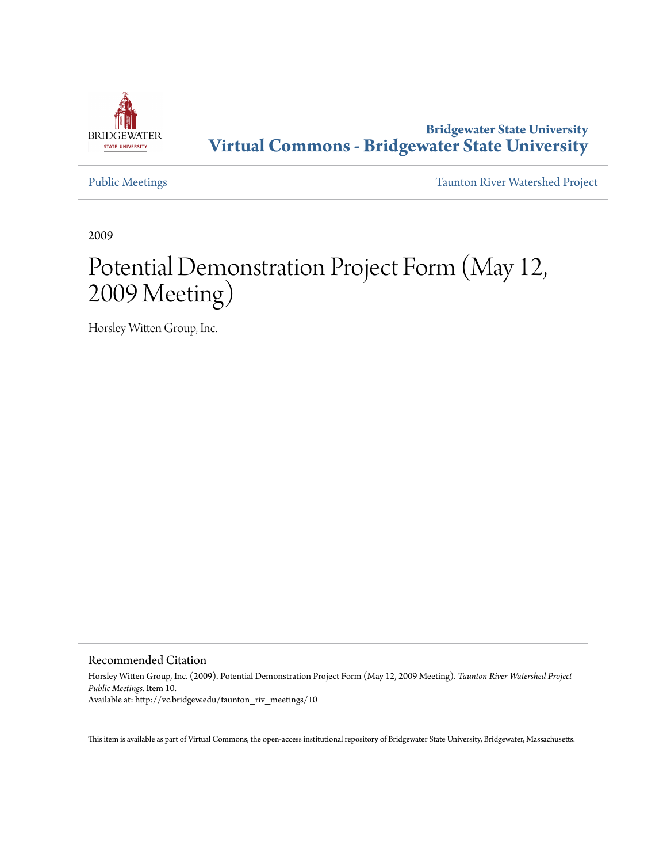

**Bridgewater State University [Virtual Commons - Bridgewater State University](http://vc.bridgew.edu)**

[Public Meetings](http://vc.bridgew.edu/taunton_riv_meetings) [Taunton River Watershed Project](http://vc.bridgew.edu/taunton_riv)

2009

## Potential Demonstration Project Form (May 12, 2009 Meeting)

Horsley Witten Group, Inc.

Recommended Citation

Horsley Witten Group, Inc. (2009). Potential Demonstration Project Form (May 12, 2009 Meeting). *Taunton River Watershed Project Public Meetings.* Item 10. Available at: http://vc.bridgew.edu/taunton\_riv\_meetings/10

This item is available as part of Virtual Commons, the open-access institutional repository of Bridgewater State University, Bridgewater, Massachusetts.